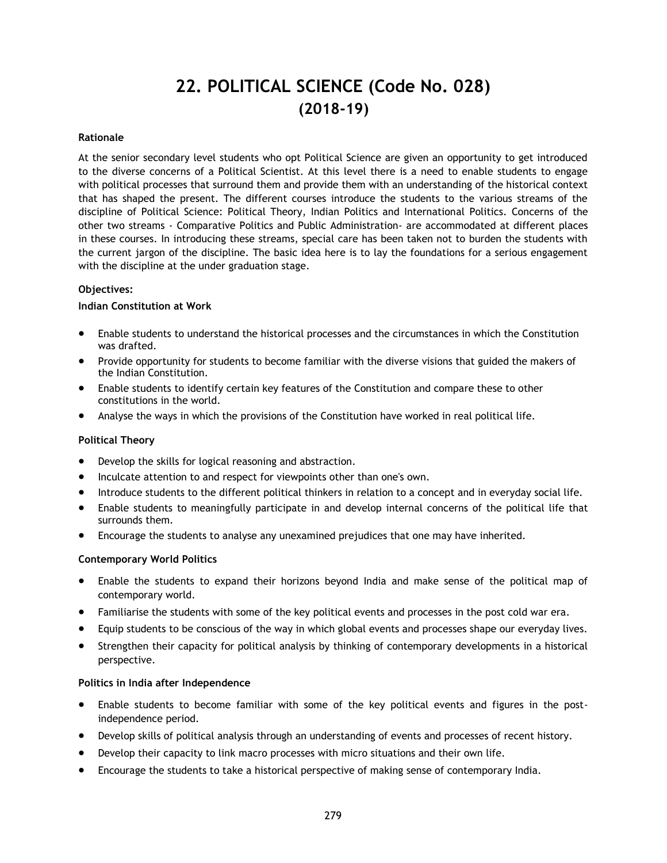# **22. POLITICAL SCIENCE (Code No. 028) (2018-19)**

### **Rationale**

At the senior secondary level students who opt Political Science are given an opportunity to get introduced to the diverse concerns of a Political Scientist. At this level there is a need to enable students to engage with political processes that surround them and provide them with an understanding of the historical context that has shaped the present. The different courses introduce the students to the various streams of the discipline of Political Science: Political Theory, Indian Politics and International Politics. Concerns of the other two streams - Comparative Politics and Public Administration- are accommodated at different places in these courses. In introducing these streams, special care has been taken not to burden the students with the current jargon of the discipline. The basic idea here is to lay the foundations for a serious engagement with the discipline at the under graduation stage.

#### **Objectives:**

#### **Indian Constitution at Work**

- Enable students to understand the historical processes and the circumstances in which the Constitution was drafted.
- Provide opportunity for students to become familiar with the diverse visions that guided the makers of the Indian Constitution.
- Enable students to identify certain key features of the Constitution and compare these to other constitutions in the world.
- Analyse the ways in which the provisions of the Constitution have worked in real political life.

## **Political Theory**

- Develop the skills for logical reasoning and abstraction.
- Inculcate attention to and respect for viewpoints other than one's own.
- Introduce students to the different political thinkers in relation to a concept and in everyday social life.
- Enable students to meaningfully participate in and develop internal concerns of the political life that surrounds them.
- Encourage the students to analyse any unexamined prejudices that one may have inherited.

#### **Contemporary World Politics**

- Enable the students to expand their horizons beyond India and make sense of the political map of contemporary world.
- Familiarise the students with some of the key political events and processes in the post cold war era.
- Equip students to be conscious of the way in which global events and processes shape our everyday lives.
- Strengthen their capacity for political analysis by thinking of contemporary developments in a historical perspective.

#### **Politics in India after Independence**

- Enable students to become familiar with some of the key political events and figures in the postindependence period.
- Develop skills of political analysis through an understanding of events and processes of recent history.
- Develop their capacity to link macro processes with micro situations and their own life.
- Encourage the students to take a historical perspective of making sense of contemporary India.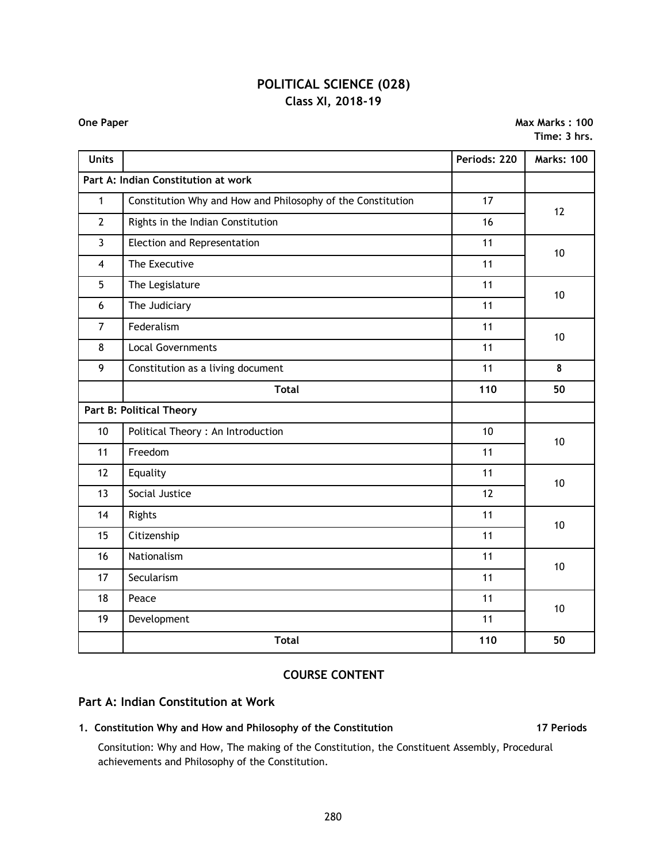## **POLITICAL SCIENCE (028) Class XI, 2018-19**

**One Paper Max Marks : 100 Time: 3 hrs.**

| <b>Units</b>                    |                                                             | Periods: 220    | <b>Marks: 100</b> |
|---------------------------------|-------------------------------------------------------------|-----------------|-------------------|
|                                 | Part A: Indian Constitution at work                         |                 |                   |
| $\mathbf{1}$                    | Constitution Why and How and Philosophy of the Constitution | 17              | 12                |
| $\overline{2}$                  | Rights in the Indian Constitution                           | 16              |                   |
| $\overline{3}$                  | Election and Representation                                 | 11              | 10                |
| $\overline{4}$                  | The Executive                                               | 11              |                   |
| 5                               | The Legislature                                             | 11              | 10                |
| 6                               | The Judiciary                                               | 11              |                   |
| $\overline{7}$                  | Federalism                                                  | 11              | 10                |
| 8                               | <b>Local Governments</b>                                    | 11              |                   |
| 9                               | Constitution as a living document                           | 11              | 8                 |
|                                 | <b>Total</b>                                                | 110             | 50                |
| <b>Part B: Political Theory</b> |                                                             |                 |                   |
| 10                              | Political Theory : An Introduction                          | 10 <sup>1</sup> | 10                |
| 11                              | Freedom                                                     | 11              |                   |
| 12                              | Equality                                                    | 11              | 10                |
| 13                              | Social Justice                                              | 12              |                   |
| 14                              | Rights                                                      | 11              | 10                |
| 15                              | Citizenship                                                 | 11              |                   |
| 16                              | Nationalism                                                 | 11              | 10                |
| 17                              | Secularism                                                  | 11              |                   |
| 18                              | Peace                                                       | 11              | 10                |
| 19                              | Development                                                 | 11              |                   |
|                                 | <b>Total</b>                                                | 110             | 50                |

## **COURSE CONTENT**

## **Part A: Indian Constitution at Work**

## **1. Constitution Why and How and Philosophy of the Constitution 17 Periods**

Consitution: Why and How, The making of the Constitution, the Constituent Assembly, Procedural achievements and Philosophy of the Constitution.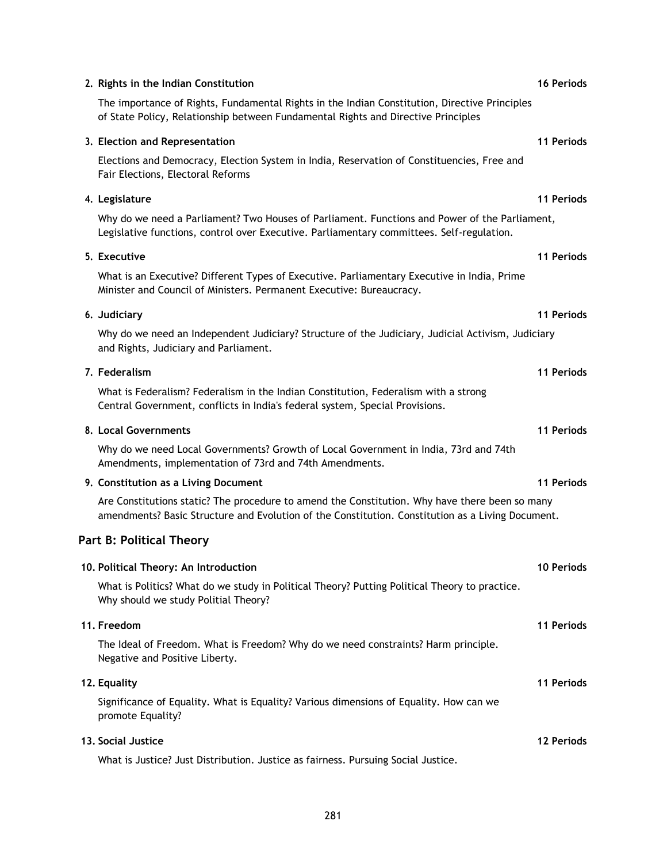| 2. Rights in the Indian Constitution                                                                                                                                                                | <b>16 Periods</b> |
|-----------------------------------------------------------------------------------------------------------------------------------------------------------------------------------------------------|-------------------|
| The importance of Rights, Fundamental Rights in the Indian Constitution, Directive Principles<br>of State Policy, Relationship between Fundamental Rights and Directive Principles                  |                   |
| 3. Election and Representation                                                                                                                                                                      | 11 Periods        |
| Elections and Democracy, Election System in India, Reservation of Constituencies, Free and<br>Fair Elections, Electoral Reforms                                                                     |                   |
| 4. Legislature                                                                                                                                                                                      | 11 Periods        |
| Why do we need a Parliament? Two Houses of Parliament. Functions and Power of the Parliament,<br>Legislative functions, control over Executive. Parliamentary committees. Self-regulation.          |                   |
| 5. Executive                                                                                                                                                                                        | 11 Periods        |
| What is an Executive? Different Types of Executive. Parliamentary Executive in India, Prime<br>Minister and Council of Ministers. Permanent Executive: Bureaucracy.                                 |                   |
| 6. Judiciary                                                                                                                                                                                        | 11 Periods        |
| Why do we need an Independent Judiciary? Structure of the Judiciary, Judicial Activism, Judiciary<br>and Rights, Judiciary and Parliament.                                                          |                   |
| 7. Federalism                                                                                                                                                                                       | 11 Periods        |
| What is Federalism? Federalism in the Indian Constitution, Federalism with a strong<br>Central Government, conflicts in India's federal system, Special Provisions.                                 |                   |
| 8. Local Governments                                                                                                                                                                                | 11 Periods        |
| Why do we need Local Governments? Growth of Local Government in India, 73rd and 74th<br>Amendments, implementation of 73rd and 74th Amendments.                                                     |                   |
| 9. Constitution as a Living Document                                                                                                                                                                | 11 Periods        |
| Are Constitutions static? The procedure to amend the Constitution. Why have there been so many<br>amendments? Basic Structure and Evolution of the Constitution. Constitution as a Living Document. |                   |
| <b>Part B: Political Theory</b>                                                                                                                                                                     |                   |
| 10. Political Theory: An Introduction                                                                                                                                                               | 10 Periods        |
| What is Politics? What do we study in Political Theory? Putting Political Theory to practice.<br>Why should we study Politial Theory?                                                               |                   |
| 11. Freedom                                                                                                                                                                                         | 11 Periods        |
| The Ideal of Freedom. What is Freedom? Why do we need constraints? Harm principle.<br>Negative and Positive Liberty.                                                                                |                   |
| 12. Equality                                                                                                                                                                                        | 11 Periods        |
| Significance of Equality. What is Equality? Various dimensions of Equality. How can we<br>promote Equality?                                                                                         |                   |
| 13. Social Justice                                                                                                                                                                                  | <b>12 Periods</b> |
| What is Justice? Just Distribution. Justice as fairness. Pursuing Social Justice.                                                                                                                   |                   |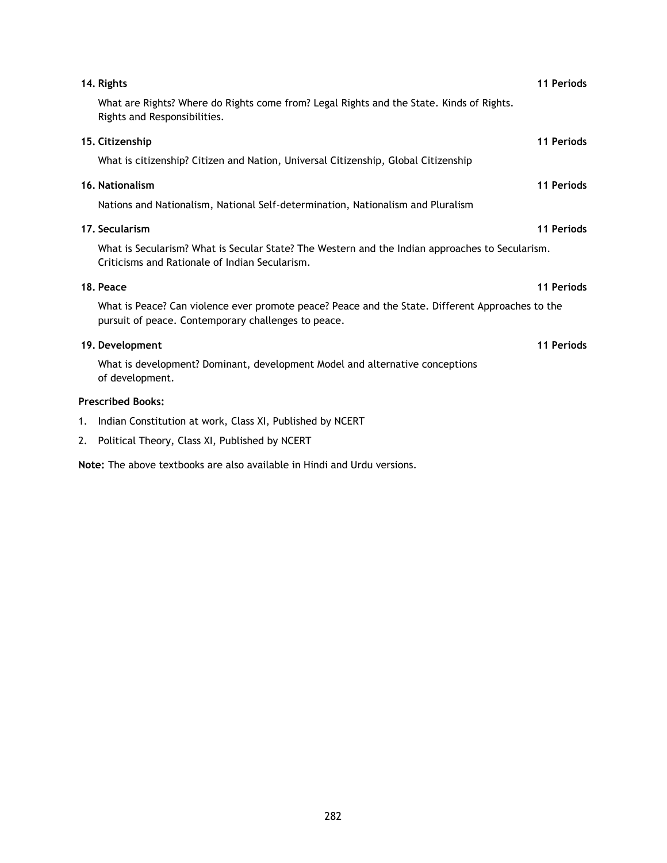|    | 14. Rights                                                                                                                                              | 11 Periods |
|----|---------------------------------------------------------------------------------------------------------------------------------------------------------|------------|
|    | What are Rights? Where do Rights come from? Legal Rights and the State. Kinds of Rights.<br>Rights and Responsibilities.                                |            |
|    | 15. Citizenship                                                                                                                                         | 11 Periods |
|    | What is citizenship? Citizen and Nation, Universal Citizenship, Global Citizenship                                                                      |            |
|    | 16. Nationalism                                                                                                                                         | 11 Periods |
|    | Nations and Nationalism, National Self-determination, Nationalism and Pluralism                                                                         |            |
|    | 17. Secularism                                                                                                                                          | 11 Periods |
|    | What is Secularism? What is Secular State? The Western and the Indian approaches to Secularism.<br>Criticisms and Rationale of Indian Secularism.       |            |
|    | 18. Peace                                                                                                                                               | 11 Periods |
|    | What is Peace? Can violence ever promote peace? Peace and the State. Different Approaches to the<br>pursuit of peace. Contemporary challenges to peace. |            |
|    | 19. Development                                                                                                                                         | 11 Periods |
|    | What is development? Dominant, development Model and alternative conceptions<br>of development.                                                         |            |
|    | <b>Prescribed Books:</b>                                                                                                                                |            |
| 1. | Indian Constitution at work, Class XI, Published by NCERT                                                                                               |            |
|    | 2. Political Theory, Class XI, Published by NCERT                                                                                                       |            |

**Note:** The above textbooks are also available in Hindi and Urdu versions.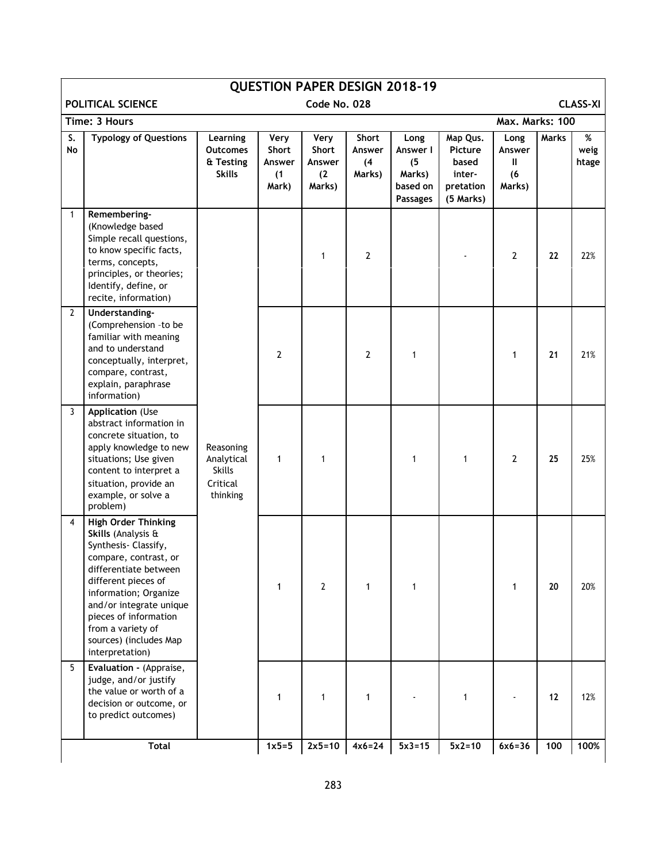|                 | <b>QUESTION PAPER DESIGN 2018-19</b>                                                                                                                                                                                                                                                             |                                                                  |                                         |                                          |                                  |                                                                  |                                                                  |                                      |       |                    |
|-----------------|--------------------------------------------------------------------------------------------------------------------------------------------------------------------------------------------------------------------------------------------------------------------------------------------------|------------------------------------------------------------------|-----------------------------------------|------------------------------------------|----------------------------------|------------------------------------------------------------------|------------------------------------------------------------------|--------------------------------------|-------|--------------------|
|                 | POLITICAL SCIENCE<br>Code No. 028<br><b>CLASS-XI</b>                                                                                                                                                                                                                                             |                                                                  |                                         |                                          |                                  |                                                                  |                                                                  |                                      |       |                    |
|                 | Time: 3 Hours                                                                                                                                                                                                                                                                                    |                                                                  |                                         |                                          |                                  |                                                                  |                                                                  | Max. Marks: 100                      |       |                    |
| S.<br><b>No</b> | <b>Typology of Questions</b>                                                                                                                                                                                                                                                                     | Learning<br><b>Outcomes</b><br>& Testing<br><b>Skills</b>        | Very<br>Short<br>Answer<br>(1)<br>Mark) | Very<br>Short<br>Answer<br>(2)<br>Marks) | Short<br>Answer<br>(4)<br>Marks) | Long<br>Answer I<br>(5)<br>Marks)<br>based on<br><b>Passages</b> | Map Qus.<br>Picture<br>based<br>inter-<br>pretation<br>(5 Marks) | Long<br>Answer<br>Ш<br>(6)<br>Marks) | Marks | %<br>weig<br>htage |
| 1               | Remembering-<br>(Knowledge based<br>Simple recall questions,<br>to know specific facts,<br>terms, concepts,<br>principles, or theories;<br>Identify, define, or<br>recite, information)                                                                                                          |                                                                  |                                         | 1                                        | 2                                |                                                                  |                                                                  | 2                                    | 22    | 22%                |
| $\mathbf{2}$    | Understanding-<br>(Comprehension -to be<br>familiar with meaning<br>and to understand<br>conceptually, interpret,<br>compare, contrast,<br>explain, paraphrase<br>information)                                                                                                                   |                                                                  | $\overline{2}$                          |                                          | $\mathbf{2}$                     | 1                                                                |                                                                  | 1                                    | 21    | 21%                |
| 3               | <b>Application (Use</b><br>abstract information in<br>concrete situation, to<br>apply knowledge to new<br>situations; Use given<br>content to interpret a<br>situation, provide an<br>example, or solve a<br>problem)                                                                            | Reasoning<br>Analytical<br><b>Skills</b><br>Critical<br>thinking | 1                                       | 1                                        |                                  | 1                                                                | $\mathbf{1}$                                                     | $\overline{2}$                       | 25    | 25%                |
| $\overline{4}$  | <b>High Order Thinking</b><br>Skills (Analysis &<br>Synthesis- Classify,<br>compare, contrast, or<br>differentiate between<br>different pieces of<br>information; Organize<br>and/or integrate unique<br>pieces of information<br>from a variety of<br>sources) (includes Map<br>interpretation) |                                                                  | 1                                       | $\mathbf{2}$                             | 1                                | 1                                                                |                                                                  | 1                                    | 20    | 20%                |
| 5               | Evaluation - (Appraise,<br>judge, and/or justify<br>the value or worth of a<br>decision or outcome, or<br>to predict outcomes)                                                                                                                                                                   |                                                                  | 1                                       | 1                                        | 1                                |                                                                  | $\mathbf{1}$                                                     |                                      | 12    | 12%                |
|                 | <b>Total</b>                                                                                                                                                                                                                                                                                     |                                                                  | $1x5=5$                                 | $2x5=10$                                 | $4x6 = 24$                       | $5x3 = 15$                                                       | $5x2=10$                                                         | $6x6 = 36$                           | 100   | 100%               |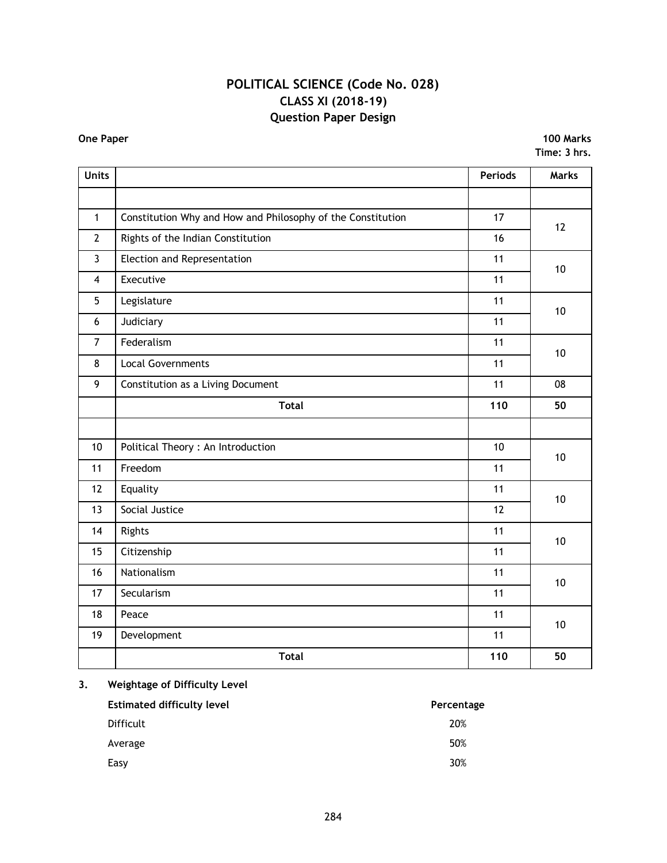## **POLITICAL SCIENCE (Code No. 028) CLASS XI (2018-19) Question Paper Design**

**One Paper 100 Marks Time: 3 hrs.**

| <b>Units</b>   |                                                             | <b>Periods</b> | Marks |
|----------------|-------------------------------------------------------------|----------------|-------|
|                |                                                             |                |       |
| $\mathbf{1}$   | Constitution Why and How and Philosophy of the Constitution | 17             | 12    |
| $\overline{2}$ | Rights of the Indian Constitution                           | 16             |       |
| $\overline{3}$ | Election and Representation                                 | 11             | 10    |
| $\overline{4}$ | Executive                                                   | 11             |       |
| 5              | Legislature                                                 | 11             | 10    |
| 6              | Judiciary                                                   | 11             |       |
| $\overline{7}$ | Federalism                                                  | 11             | 10    |
| 8              | <b>Local Governments</b>                                    | 11             |       |
| 9              | Constitution as a Living Document                           | 11             | 08    |
|                | <b>Total</b>                                                | 110            | 50    |
|                |                                                             |                |       |
| 10             | Political Theory: An Introduction                           | 10             | 10    |
| 11             | Freedom                                                     | 11             |       |
| 12             | Equality                                                    | 11             | 10    |
| 13             | Social Justice                                              | 12             |       |
| 14             | Rights                                                      | 11             | 10    |
| 15             | Citizenship                                                 | 11             |       |
| 16             | Nationalism                                                 | 11             | 10    |
| 17             | Secularism                                                  | 11             |       |
| 18             | Peace                                                       | 11             | 10    |
| 19             | Development                                                 | 11             |       |
|                | <b>Total</b>                                                | 110            | 50    |

## **3. Weightage of Difficulty Level**

| <b>Estimated difficulty level</b> | Percentage |
|-----------------------------------|------------|
| <b>Difficult</b>                  | 20%        |
| Average                           | 50%        |
| Easy                              | 30%        |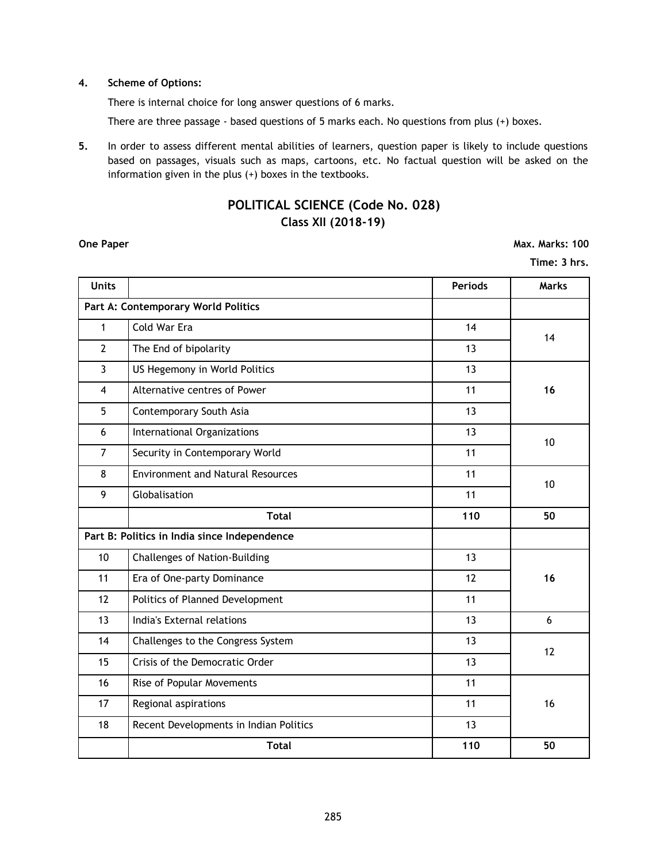### **4. Scheme of Options:**

There is internal choice for long answer questions of 6 marks.

There are three passage - based questions of 5 marks each. No questions from plus (+) boxes.

**5.** In order to assess different mental abilities of learners, question paper is likely to include questions based on passages, visuals such as maps, cartoons, etc. No factual question will be asked on the information given in the plus (+) boxes in the textbooks.

## **POLITICAL SCIENCE (Code No. 028) Class XII (2018-19)**

**One Paper Max. Marks: 100** 

**Time: 3 hrs.**

| <b>Units</b>                        |                                              | Periods | Marks |  |  |
|-------------------------------------|----------------------------------------------|---------|-------|--|--|
| Part A: Contemporary World Politics |                                              |         |       |  |  |
| $\mathbf{1}$                        | Cold War Era                                 | 14      | 14    |  |  |
| $\overline{2}$                      | The End of bipolarity                        | 13      |       |  |  |
| $\overline{3}$                      | US Hegemony in World Politics                | 13      |       |  |  |
| $\overline{4}$                      | Alternative centres of Power                 | 11      | 16    |  |  |
| 5                                   | Contemporary South Asia                      | 13      |       |  |  |
| 6                                   | International Organizations                  | 13      | 10    |  |  |
| $\overline{7}$                      | Security in Contemporary World               | 11      |       |  |  |
| 8                                   | <b>Environment and Natural Resources</b>     | 11      | 10    |  |  |
| 9                                   | Globalisation                                | 11      |       |  |  |
|                                     | <b>Total</b>                                 | 110     | 50    |  |  |
|                                     | Part B: Politics in India since Independence |         |       |  |  |
| 10                                  | Challenges of Nation-Building                | 13      |       |  |  |
| 11                                  | Era of One-party Dominance                   | 12      | 16    |  |  |
| 12                                  | Politics of Planned Development              | 11      |       |  |  |
| 13                                  | India's External relations                   | 13      | 6     |  |  |
| 14                                  | Challenges to the Congress System            | 13      | 12    |  |  |
| 15                                  | Crisis of the Democratic Order               | 13      |       |  |  |
| 16                                  | Rise of Popular Movements                    | 11      |       |  |  |
| 17                                  | Regional aspirations                         | 11      | 16    |  |  |
| 18                                  | Recent Developments in Indian Politics       | 13      |       |  |  |
|                                     | <b>Total</b>                                 | 110     | 50    |  |  |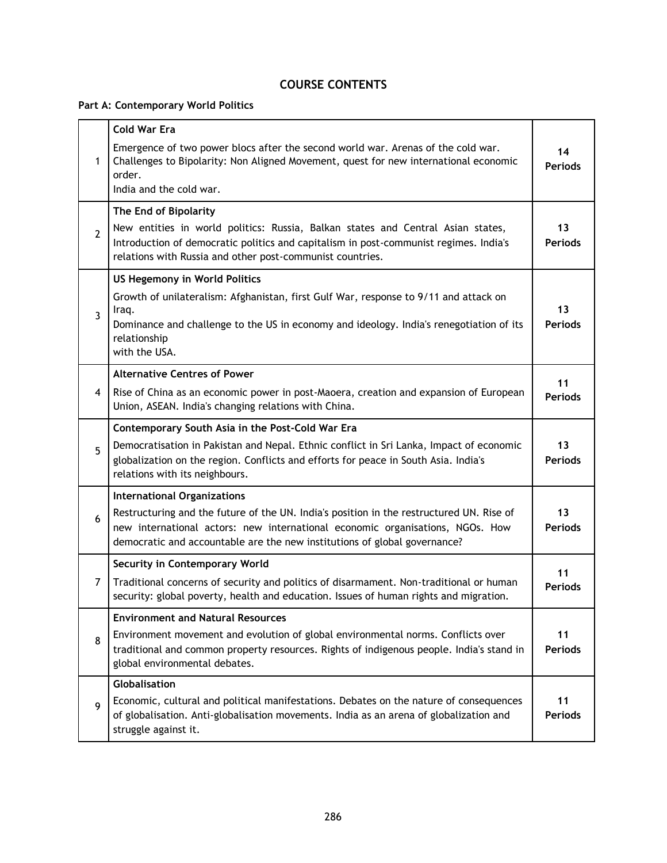## **COURSE CONTENTS**

**Part A: Contemporary World Politics**

|                | <b>Cold War Era</b>                                                                                                                                                                                                                                    |                      |
|----------------|--------------------------------------------------------------------------------------------------------------------------------------------------------------------------------------------------------------------------------------------------------|----------------------|
| 1              | Emergence of two power blocs after the second world war. Arenas of the cold war.<br>Challenges to Bipolarity: Non Aligned Movement, quest for new international economic<br>order.<br>India and the cold war.                                          | 14<br><b>Periods</b> |
|                | The End of Bipolarity                                                                                                                                                                                                                                  |                      |
| $\overline{2}$ | New entities in world politics: Russia, Balkan states and Central Asian states,<br>Introduction of democratic politics and capitalism in post-communist regimes. India's<br>relations with Russia and other post-communist countries.                  | 13<br><b>Periods</b> |
|                | <b>US Hegemony in World Politics</b>                                                                                                                                                                                                                   |                      |
| 3              | Growth of unilateralism: Afghanistan, first Gulf War, response to 9/11 and attack on<br>Iraq.<br>Dominance and challenge to the US in economy and ideology. India's renegotiation of its                                                               | 13<br><b>Periods</b> |
|                | relationship<br>with the USA.                                                                                                                                                                                                                          |                      |
|                | <b>Alternative Centres of Power</b>                                                                                                                                                                                                                    | 11                   |
| 4              | Rise of China as an economic power in post-Maoera, creation and expansion of European<br>Union, ASEAN. India's changing relations with China.                                                                                                          | <b>Periods</b>       |
|                | Contemporary South Asia in the Post-Cold War Era                                                                                                                                                                                                       |                      |
| 5              | Democratisation in Pakistan and Nepal. Ethnic conflict in Sri Lanka, Impact of economic<br>globalization on the region. Conflicts and efforts for peace in South Asia. India's<br>relations with its neighbours.                                       | 13<br><b>Periods</b> |
|                | <b>International Organizations</b>                                                                                                                                                                                                                     |                      |
| 6              | Restructuring and the future of the UN. India's position in the restructured UN. Rise of<br>new international actors: new international economic organisations, NGOs. How<br>democratic and accountable are the new institutions of global governance? | 13<br><b>Periods</b> |
|                | <b>Security in Contemporary World</b>                                                                                                                                                                                                                  |                      |
| $\overline{7}$ | Traditional concerns of security and politics of disarmament. Non-traditional or human<br>security: global poverty, health and education. Issues of human rights and migration.                                                                        | 11<br><b>Periods</b> |
|                | <b>Environment and Natural Resources</b>                                                                                                                                                                                                               |                      |
| 8              | Environment movement and evolution of global environmental norms. Conflicts over<br>traditional and common property resources. Rights of indigenous people. India's stand in<br>global environmental debates.                                          | 11<br><b>Periods</b> |
|                | <b>Globalisation</b>                                                                                                                                                                                                                                   |                      |
| 9              | Economic, cultural and political manifestations. Debates on the nature of consequences<br>of globalisation. Anti-globalisation movements. India as an arena of globalization and<br>struggle against it.                                               | 11<br><b>Periods</b> |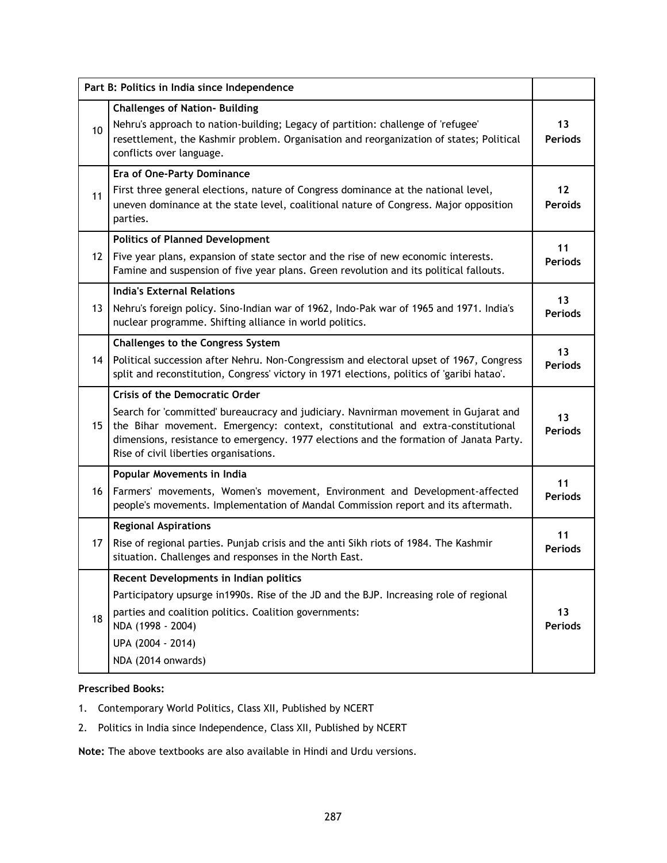|                   | Part B: Politics in India since Independence                                                                                                                                                                                                                                                                                                        |                      |
|-------------------|-----------------------------------------------------------------------------------------------------------------------------------------------------------------------------------------------------------------------------------------------------------------------------------------------------------------------------------------------------|----------------------|
| 10                | <b>Challenges of Nation- Building</b><br>Nehru's approach to nation-building; Legacy of partition: challenge of 'refugee'<br>resettlement, the Kashmir problem. Organisation and reorganization of states; Political<br>conflicts over language.                                                                                                    | 13<br><b>Periods</b> |
| 11                | <b>Era of One-Party Dominance</b><br>First three general elections, nature of Congress dominance at the national level,<br>uneven dominance at the state level, coalitional nature of Congress. Major opposition<br>parties.                                                                                                                        | 12<br><b>Peroids</b> |
| $12 \overline{ }$ | <b>Politics of Planned Development</b><br>Five year plans, expansion of state sector and the rise of new economic interests.<br>Famine and suspension of five year plans. Green revolution and its political fallouts.                                                                                                                              | 11<br><b>Periods</b> |
| 13                | <b>India's External Relations</b><br>Nehru's foreign policy. Sino-Indian war of 1962, Indo-Pak war of 1965 and 1971. India's<br>nuclear programme. Shifting alliance in world politics.                                                                                                                                                             | 13<br><b>Periods</b> |
| 14                | <b>Challenges to the Congress System</b><br>Political succession after Nehru. Non-Congressism and electoral upset of 1967, Congress<br>split and reconstitution, Congress' victory in 1971 elections, politics of 'garibi hatao'.                                                                                                                   | 13<br><b>Periods</b> |
| 15                | <b>Crisis of the Democratic Order</b><br>Search for 'committed' bureaucracy and judiciary. Navnirman movement in Gujarat and<br>the Bihar movement. Emergency: context, constitutional and extra-constitutional<br>dimensions, resistance to emergency. 1977 elections and the formation of Janata Party.<br>Rise of civil liberties organisations. | 13<br><b>Periods</b> |
| 16                | Popular Movements in India<br>Farmers' movements, Women's movement, Environment and Development-affected<br>people's movements. Implementation of Mandal Commission report and its aftermath.                                                                                                                                                       | 11<br><b>Periods</b> |
| 17                | <b>Regional Aspirations</b><br>Rise of regional parties. Punjab crisis and the anti Sikh riots of 1984. The Kashmir<br>situation. Challenges and responses in the North East.                                                                                                                                                                       | 11<br><b>Periods</b> |
| 18                | Recent Developments in Indian politics<br>Participatory upsurge in1990s. Rise of the JD and the BJP. Increasing role of regional<br>parties and coalition politics. Coalition governments:<br>NDA (1998 - 2004)<br>UPA (2004 - 2014)<br>NDA (2014 onwards)                                                                                          | 13<br><b>Periods</b> |

## **Prescribed Books:**

- 1. Contemporary World Politics, Class XII, Published by NCERT
- 2. Politics in India since Independence, Class XII, Published by NCERT

**Note:** The above textbooks are also available in Hindi and Urdu versions.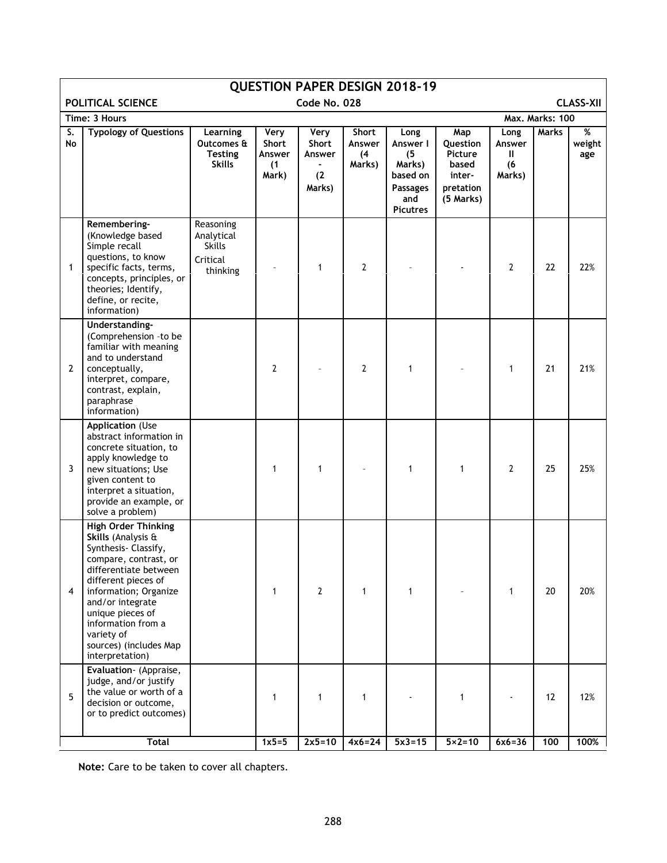| <b>QUESTION PAPER DESIGN 2018-19</b>                                                                                                                                                                                                                                                                     |                                                                  |                                         |                                          |                                  |                                                                                            |                                                                         |                                      |       |                    |
|----------------------------------------------------------------------------------------------------------------------------------------------------------------------------------------------------------------------------------------------------------------------------------------------------------|------------------------------------------------------------------|-----------------------------------------|------------------------------------------|----------------------------------|--------------------------------------------------------------------------------------------|-------------------------------------------------------------------------|--------------------------------------|-------|--------------------|
| POLITICAL SCIENCE<br>Code No. 028<br><b>CLASS-XII</b>                                                                                                                                                                                                                                                    |                                                                  |                                         |                                          |                                  |                                                                                            |                                                                         |                                      |       |                    |
| Time: 3 Hours                                                                                                                                                                                                                                                                                            | Max. Marks: 100                                                  |                                         |                                          |                                  |                                                                                            |                                                                         |                                      |       |                    |
| S.<br><b>Typology of Questions</b><br>No                                                                                                                                                                                                                                                                 | Learning<br>Outcomes &<br><b>Testing</b><br><b>Skills</b>        | Very<br>Short<br>Answer<br>(1)<br>Mark) | Very<br>Short<br>Answer<br>(2)<br>Marks) | Short<br>Answer<br>(4)<br>Marks) | Long<br>Answer I<br>(5)<br>Marks)<br>based on<br><b>Passages</b><br>and<br><b>Picutres</b> | Map<br>Question<br>Picture<br>based<br>inter-<br>pretation<br>(5 Marks) | Long<br>Answer<br>Ш<br>(6)<br>Marks) | Marks | %<br>weight<br>age |
| Remembering-<br>(Knowledge based<br>Simple recall<br>questions, to know<br>$\mathbf{1}$<br>specific facts, terms,<br>concepts, principles, or<br>theories; Identify,<br>define, or recite,<br>information)                                                                                               | Reasoning<br>Analytical<br><b>Skills</b><br>Critical<br>thinking |                                         | $\mathbf{1}$                             | $\overline{2}$                   |                                                                                            |                                                                         | $\overline{2}$                       | 22    | 22%                |
| Understanding-<br>(Comprehension -to be<br>familiar with meaning<br>and to understand<br>$\mathbf{2}$<br>conceptually,<br>interpret, compare,<br>contrast, explain,<br>paraphrase<br>information)                                                                                                        |                                                                  | $\mathbf{2}$                            |                                          | $\overline{2}$                   | 1                                                                                          |                                                                         | $\mathbf{1}$                         | 21    | 21%                |
| <b>Application (Use</b><br>abstract information in<br>concrete situation, to<br>apply knowledge to<br>3<br>new situations; Use<br>given content to<br>interpret a situation,<br>provide an example, or<br>solve a problem)                                                                               |                                                                  | $\mathbf{1}$                            | $\mathbf{1}$                             |                                  | 1                                                                                          | 1                                                                       | 2                                    | 25    | 25%                |
| <b>High Order Thinking</b><br>Skills (Analysis &<br>Synthesis- Classify,<br>compare, contrast, or<br>differentiate between<br>different pieces of<br>4<br>information; Organize<br>and/or integrate<br>unique pieces of<br>information from a<br>variety of<br>sources) (includes Map<br>interpretation) |                                                                  | $\mathbf{1}$                            | 2                                        | 1                                | 1                                                                                          |                                                                         | 1                                    | 20    | 20%                |
| Evaluation- (Appraise,<br>judge, and/or justify<br>the value or worth of a<br>5<br>decision or outcome,<br>or to predict outcomes)                                                                                                                                                                       |                                                                  | 1                                       | 1                                        | 1                                |                                                                                            | $\mathbf{1}$                                                            | $\blacksquare$                       | 12    | 12%                |
| <b>Total</b>                                                                                                                                                                                                                                                                                             |                                                                  | $1x5=5$                                 | $2x5=10$                                 | $4x6=24$                         | $5x3 = 15$                                                                                 | $5 \times 2 = 10$                                                       | $6x6=36$                             | 100   | 100%               |

**Note:** Care to be taken to cover all chapters.